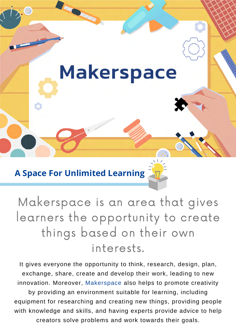

**A Space For Unlimited Learning**

Makerspace is an area that gives learners the opportunity to create things based on their own interests.

It gives everyone the opportunity to think, research, design, plan, exchange, share, create and develop their work, leading to new innovation. Moreover, Makerspace also helps to promote creativity by providing an environment suitable for learning, including equipment for researching and creating new things, providing people with knowledge and skills, and having experts provide advice to help creators solve problems and work towards their goals.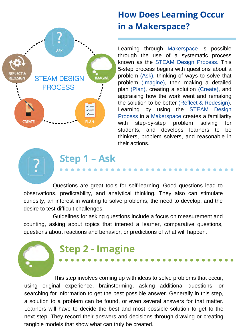

# **How Does Learning Occur in a Makerspace?**

Learning through Makerspace is possible through the use of a systematic process known as the STEAM Design Process. This 5-step process begins with questions about a problem (Ask), thinking of ways to solve that problem (Imagine), then making a detailed plan (Plan), creating a solution (Create), and appraising how the work went and remaking the solution to be better (Reflect & Redesign). Learning by using the STEAM Design Process in a Makerspace creates a familiarity with step-by-step problem solving for students, and develops learners to be thinkers, problem solvers, and reasonable in their actions.

 Questions are great tools for self-learning. Good questions lead to observations, predictability, and analytical thinking. They also can stimulate curiosity, an interest in wanting to solve problems, the need to develop, and the desire to test difficult challenges.

 Guidelines for asking questions include a focus on measurement and counting, asking about topics that interest a learner, comparative questions, questions about reactions and behavior, or predictions of what will happen.

# **Step 2 - Imagine**

**Step 1 – Ask**

 This step involves coming up with ideas to solve problems that occur, using original experience, brainstorming, asking additional questions, or searching for information to get the best possible answer. Generally in this step, a solution to a problem can be found, or even several answers for that matter. Learners will have to decide the best and most possible solution to get to the next step. They record their answers and decisions through drawing or creating tangible models that show what can truly be created.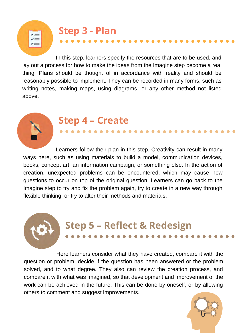**Step 3 - Plan**

 In this step, learners specify the resources that are to be used, and lay out a process for how to make the ideas from the Imagine step become a real thing. Plans should be thought of in accordance with reality and should be reasonably possible to implement. They can be recorded in many forms, such as writing notes, making maps, using diagrams, or any other method not listed above.



## **Step 4 – Create**

 Learners follow their plan in this step. Creativity can result in many ways here, such as using materials to build a model, communication devices, books, concept art, an information campaign, or something else. In the action of creation, unexpected problems can be encountered, which may cause new questions to occur on top of the original question. Learners can go back to the Imagine step to try and fix the problem again, try to create in a new way through flexible thinking, or try to alter their methods and materials.

# **Step 5 – Reflect & Redesign**

 Here learners consider what they have created, compare it with the question or problem, decide if the question has been answered or the problem solved, and to what degree. They also can review the creation process, and compare it with what was imagined, so that development and improvement of the work can be achieved in the future. This can be done by oneself, or by allowing others to comment and suggest improvements.

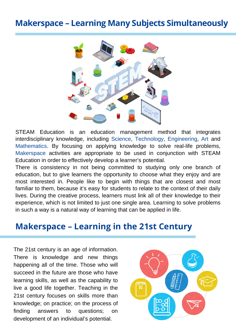## **Makerspace – Learning Many Subjects Simultaneously**



STEAM Education is an education management method that integrates interdisciplinary knowledge, including Science, Technology, Engineering, Art and Mathematics. By focusing on applying knowledge to solve real-life problems, Makerspace activities are appropriate to be used in conjunction with STEAM Education in order to effectively develop a learner's potential.

There is consistency in not being committed to studying only one branch of education, but to give learners the opportunity to choose what they enjoy and are most interested in. People like to begin with things that are closest and most familiar to them, because it's easy for students to relate to the context of their daily lives. During the creative process, learners must link all of their knowledge to their experience, which is not limited to just one single area. Learning to solve problems in such a way is a natural way of learning that can be applied in life.

### **Makerspace – Learning in the 21st Century**

The 21st century is an age of information. There is knowledge and new things happening all of the time. Those who will succeed in the future are those who have learning skills, as well as the capability to live a good life together. Teaching in the 21st century focuses on skills more than knowledge; on practice; on the process of finding answers to questions; on development of an individual's potential.

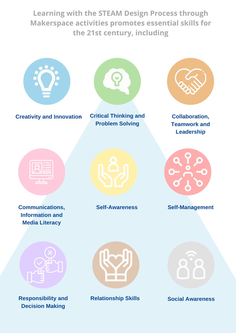**Learning with the STEAM Design Process through Makerspace activities promotes essential skills for the 21st century, including**



**Creativity and Innovation Critical Thinking and**



**Problem Solving**



**Collaboration, Teamwork and Leadership**



**Communications, Information and Media Literacy**





**Self-Awareness Self-Management**



**Responsibility and Decision Making**



**Relationship Skills Social Awareness**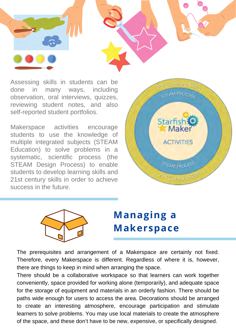

Assessing skills in students can be done in many ways, including observation, oral interviews, quizzes, reviewing student notes, and also self-reported student portfolios.

Makerspace activities encourage students to use the knowledge of multiple integrated subjects (STEAM Education) to solve problems in a systematic, scientific process (the STEAM Design Process) to enable students to develop learning skills and 21st century skills in order to achieve success in the future.





# **Managing a Makerspace**

The prerequisites and arrangement of a Makerspace are certainly not fixed. Therefore, every Makerspace is different. Regardless of where it is, however, there are things to keep in mind when arranging the space.

There should be a collaborative workspace so that learners can work together conveniently, space provided for working alone (temporarily), and adequate space for the storage of equipment and materials in an orderly fashion. There should be paths wide enough for users to access the area. Decorations should be arranged to create an interesting atmosphere, encourage participation and stimulate learners to solve problems. You may use local materials to create the atmosphere of the space, and these don't have to be new, expensive, or specifically designed.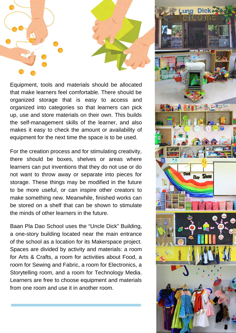

Equipment, tools and materials should be allocated that make learners feel comfortable. There should be organized storage that is easy to access and organized into categories so that learners can pick up, use and store materials on their own. This builds the self-management skills of the learner, and also makes it easy to check the amount or availability of equipment for the next time the space is to be used.

For the creation process and for stimulating creativity, there should be boxes, shelves or areas where learners can put inventions that they do not use or do not want to throw away or separate into pieces for storage. These things may be modified in the future to be more useful, or can inspire other creators to make something new. Meanwhile, finished works can be stored on a shelf that can be shown to stimulate the minds of other learners in the future.

Baan Pla Dao School uses the "Uncle Dick" Building, a one-story building located near the main entrance of the school as a location for its Makerspace project. Spaces are divided by activity and materials: a room for Arts & Crafts, a room for activities about Food, a room for Sewing and Fabric, a room for Electronics, a Storytelling room, and a room for Technology Media. Learners are free to choose equipment and materials from one room and use it in another room.

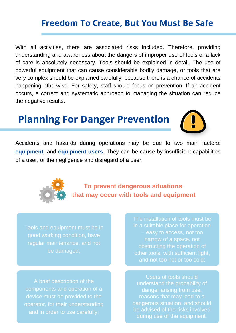## **Freedom To Create, But You Must Be Safe**

With all activities, there are associated risks included. Therefore, providing understanding and awareness about the dangers of improper use of tools or a lack of care is absolutely necessary. Tools should be explained in detail. The use of powerful equipment that can cause considerable bodily damage, or tools that are very complex should be explained carefully, because there is a chance of accidents happening otherwise. For safety, staff should focus on prevention. If an accident occurs, a correct and systematic approach to managing the situation can reduce the negative results.

# **Planning For Danger Prevention**



Accidents and hazards during operations may be due to two main factors: **equipment**, and **equipment users**. They can be cause by insufficient capabilities of a user, or the negligence and disregard of a user.



**To prevent dangerous situations that may occur with tools and equipment**

Tools and equipment must be in good working condition, have regular maintenance, and not be damaged;

A brief description of the components and operation of a device must be provided to the operator, for their understanding and in order to use carefully;

The installation of tools must be in a suitable place for operation – easy to access, not too narrow of a space, not obstructing the operation of other tools, with sufficient light, and not too hot or too cold;

Users of tools should understand the probability of danger arising from use, reasons that may lead to a dangerous situation, and should be advised of the risks involved during use of the equipment.